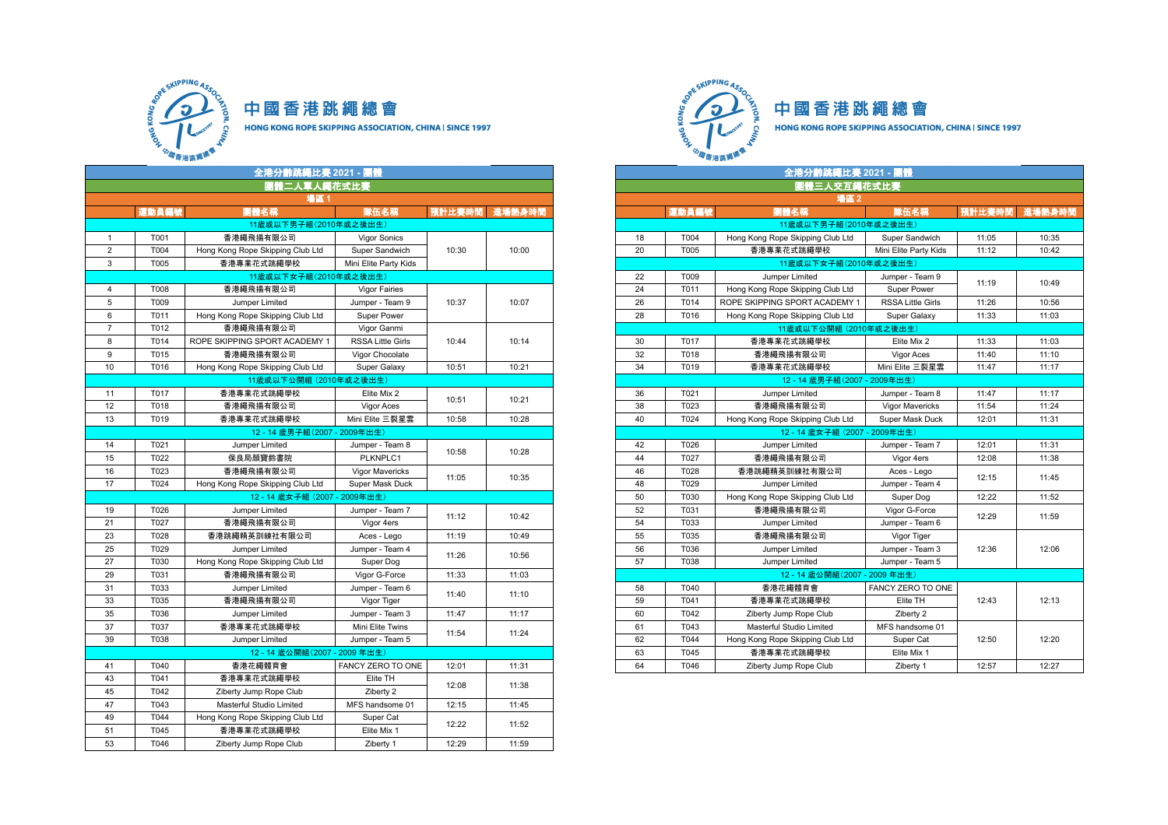

中國香港跳繩總會 HONG KONG ROPE SKIPPING ASSOCIATION, CHINA | SINCE 1997

全港分齡跳繩比賽 **2021 -** 團體 全港分齡跳繩比賽 **2021 -** 團體 国體二人單人繩花式比賽 場區 **1** 場區 **2** 11歲或以下男子組(2010年或之後出生) 1 T001 香港繩飛揚有限公司 Vigor Sonics 10:30 10:00 2 T004 Hong Kong Rope Skipping Club Ltd Super Sandwich 3 T005 香港專業花式跳繩學校 Mini Elite Party Kids 11歲或以下女子組(2010年或之後出生)  $11$ 歲或以下女子組 $(2010$ 年或之後出生 **4** T008 香港繩飛揚有限公司 Vigor Fairies 10:37 10:07 5 | T009 | Jumper\_Limited | Jumper - Team 9 | 10:37 | 10:07 | | 26 | T014 |ROPE SKIPPING SPORT ACADEMY 1 | RSSA Little Girls | 11:26 | 10:56 6 T011 Hong Kong Rope Skipping Club Ltd Super Power **7** T012 香港繩飛揚有限公司 Vigor Ganmi 10:44 10:14 8 T014 ROPE SKIPPING SPORT ACADEMY 1 RSSA Little Girls 9 | T015 | 香港繩飛揚有限公司 | Vigor Chocolate | | | | 12:40 1 10 T016 Hong Kong Rope Skipping Club Ltd Super Galaxy 10:51 10:21 11歲或以下公開組 (2010年或之後出生) 11 | T017 | 香港專業花式跳繩學校 | Elite Mix 2 10:51 10:21 12 | T018 | 香港繩飛揚有限公司 | | Vigor Aces | <sup>' ' ' ' ' '</sup> | ' | ' | 38 | T023 | 香港繩飛揚有限公司 | Vigor Mavericks | 11:54 | 11:24 13 | T019 | 香港專業花式跳繩學校 | Mini Elite 三裂星雲 | 10:58 | 10:28 | | 40 | T024 | Hong Kong Rope Skipping Club Ltd | Super Mask Duck | 12:01 | 11:31 12 - 14 歲男子組(2007 - 2009年出生) 12 - 14 歲女子組 (2007 - 2009年出生) 14 T021 Jumper Limited Jumper - Team 8 10:58 10:28 15 | T022 | 保良局顏寶鈴書院 | PLKNPLC1 | <sup>'000o</sup> | '<sup>001o</sup> | 44 | T027 | 香港繩飛揚有限公司 | Vigor 4ers | 12:08 | 11:38 <sup>16</sup> T023 香港繩飛揚有限公司 Vigor Mavericks 11:05 10:35 19 1928 Hong Kong Rope Skipping Club Ltd Super Mask Duck 48 11:05 10:35 12 - 14 歳女子組 (2007 - 2009年出生) 19 T026 Jumper Limited Jumper - Team 7 11:12 10:42 21 | T027 | 香港繩飛揚有限公司 | Vigor 4ers | <sup>・・・・ー</sup> | ・<sup>・・・・</sup> | | 54 | T033 | Jumper Limited | Jumper - Team 6 23 | T028 | 香港跳繩精英訓練社有限公司 | Aces - Lego | 11:19 | 10:49 25 | T029 | Jumper Limited | Jumper - Team 4 | <sub>....</sub> | .... | 56 | T036 | Jumper Limited | Jumper - Team 3 | 12:36 | 12:06 11:26 10:56 27 | T030 | Hong Kong Rope Skipping Club Ltd | Super Dog 29 T031 香港繩飛揚有限公司 Vigor G-Force 11:33 11:03 12 - 14 歲公開組(2007 - 2009 年出生) 31 | T033 | Jumper Limited | Jumper - Team 6 11:40 11:10 33 | T035 | 香港繩飛揚有限公司 | | Vigor Tiger | ' ' ' | ' ' | 59 | T041 | 香港專業花式跳繩學校 | Elite TH | 12:43 | 12:13 35 | T036 | Jumper Limited | Jumper - Team 3 | 11:47 | 11:17 | | 60 | T042 | Ziberty Jump Rope Club | Ziberty 2 <sup>37</sup> T037 香港專業花式跳繩學校 Mini Elite Twins 11:54 11:24 39 | T038 | Jumper\_Limited | Jumper - Team 5 | <u>1989 | 1999 | Seconal Angles | T044 | Hong</u> Kong Rope Skipping Club Ltd | Super Cat | 12:50 | 12:20 12 - 14 歲公開組(2007 - 2009 年出生) 41 | T040 | 香港花繩體育會 | FANCY ZERO TO ONE | 12:01 | 11:31 | | 64 | T046 | Ziberty Jump Rope Club | Ziberty 1 | 12:57 | 12:27 43 | T041 | 香港專業花式跳繩學校 | Elite TH 12:08 11:38 45 T042 Ziberty Jump Rope Club Ziberty 2 47 | T043 | Masterful Studio Limited | MFS handsome 01 | 12:15 | 11:45 49 T044 Hong Kong Rope Skipping Club Ltd Super Cat 12:22 11:52<br>51 T045 香港專業花式跳繩學校 Elite Mix 1 12:22 11:52 香港專業花式跳繩學校 53 T046 Ziberty Jump Rope Club Ziberty 1 12:29 11:59



| 全港分齡跳繩比賽 2021 - 團體     |                                  |                          |               |       |  |
|------------------------|----------------------------------|--------------------------|---------------|-------|--|
| 團體二人單人繩花式比賽            |                                  |                          |               |       |  |
| 場區1                    |                                  |                          |               |       |  |
| 運動員編號                  | 團體名稱                             | 隊伍名稱                     | 預計比賽時間 進場熱身時間 |       |  |
|                        | 11歲或以下男子組(2010年或之後出生)            |                          |               |       |  |
| T001                   | 香港繩飛揚有限公司                        | <b>Vigor Sonics</b>      |               |       |  |
| T004                   | Hong Kong Rope Skipping Club Ltd | Super Sandwich           | 10:30         | 10:00 |  |
| T005                   | 香港專業花式跳繩學校                       | Mini Elite Party Kids    |               |       |  |
| 11歲或以下女子組(2010年或之後出生)  |                                  |                          |               |       |  |
| T008                   | 香港繩飛揚有限公司                        | <b>Vigor Fairies</b>     |               |       |  |
| T009                   | Jumper Limited                   | Jumper - Team 9          | 10:37         | 10:07 |  |
| T011                   | Hong Kong Rope Skipping Club Ltd | Super Power              |               |       |  |
| T012                   | 香港繩飛揚有限公司                        | Vigor Ganmi              |               |       |  |
| T014                   | ROPE SKIPPING SPORT ACADEMY 1    | <b>RSSA Little Girls</b> | 10:44         | 10:14 |  |
| T015                   | 香港繩飛揚有限公司                        | Vigor Chocolate          |               |       |  |
| T016                   | Hong Kong Rope Skipping Club Ltd | Super Galaxy             | 10:51         | 10:21 |  |
| 11歲或以下公開組 (2010年或之後出生) |                                  |                          |               |       |  |
| T017                   | 香港專業花式跳繩學校                       | Elite Mix 2              | 10:51         | 10:21 |  |
| T018                   | 香港繩飛揚有限公司                        | Vigor Aces               |               |       |  |
| T019                   | 香港專業花式跳繩學校                       | Mini Elite 三裂星雲          | 10:58         | 10:28 |  |
|                        | 12-14 歲男子組(2007-2009年出生)         |                          |               |       |  |
| T021                   | Jumper Limited                   | Jumper - Team 8          |               | 10:28 |  |
| T022                   | 保良局顏寶鈴書院                         | PLKNPLC1                 | 10:58         |       |  |
| T023                   | 香港繩飛揚有限公司                        | Vigor Mavericks          |               |       |  |
| T024                   | Hong Kong Rope Skipping Club Ltd | Super Mask Duck          | 11:05         | 10:35 |  |
|                        | 12-14 歲女子組 (2007-2009年出生)        |                          |               |       |  |
| T026                   | Jumper Limited                   | Jumper - Team 7          |               |       |  |
| T027                   | 香港繩飛揚有限公司                        | Vigor 4ers               | 11:12         | 10:42 |  |
| T028                   | 香港跳繩精英訓練社有限公司                    | Aces - Lego              | 11:19         | 10:49 |  |
| T029                   | Jumper Limited                   | Jumper - Team 4          |               |       |  |
| T030                   | Hong Kong Rope Skipping Club Ltd | Super Dog                | 11:26         | 10:56 |  |
| T031                   | 香港繩飛揚有限公司                        | Vigor G-Force            | 11:33         | 11:03 |  |
| T033                   | Jumper Limited                   | Jumper - Team 6          |               |       |  |
| T035                   | 香港繩飛揚有限公司                        | Vigor Tiger              | 11:40         | 11:10 |  |
| T036                   | Jumper Limited                   | Jumper - Team 3          | 11:47         | 11:17 |  |
| T037                   | 香港專業花式跳繩學校                       | Mini Elite Twins         |               |       |  |
| T038                   | Jumper Limited                   | Jumper - Team 5          | 11:54         | 11:24 |  |
|                        | 12-14 歲公開組(2007-2009年出生)         |                          |               |       |  |
| T040                   | 香港花繩體育會                          | FANCY ZERO TO ONE        | 12:01         | 11:31 |  |